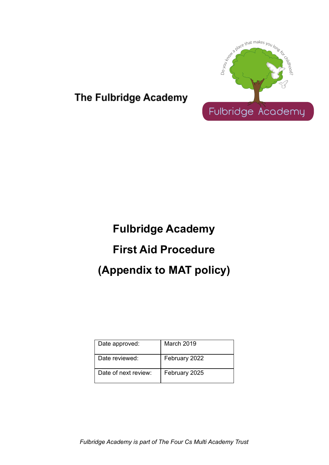

## The Fulbridge Academy

# **Fulbridge Academy First Aid Procedure (Appendix to MAT policy)**

| Date approved:       | <b>March 2019</b> |
|----------------------|-------------------|
| Date reviewed:       | February 2022     |
| Date of next review: | February 2025     |

*Fulbridge Academy is part of The Four Cs Multi Academy Trust*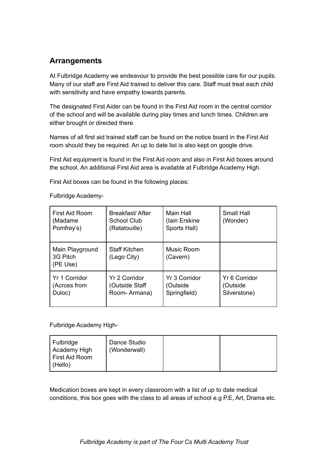#### **Arrangements**

At Fulbridge Academy we endeavour to provide the best possible care for our pupils. Many of our staff are First Aid trained to deliver this care. Staff must treat each child with sensitivity and have empathy towards parents.

The designated First Aider can be found in the First Aid room in the central corridor of the school and will be available during play times and lunch times. Children are either brought or directed there.

Names of all first aid trained staff can be found on the notice board in the First Aid room should they be required. An up to date list is also kept on google drive.

First Aid equipment is found in the First Aid room and also in First Aid boxes around the school. An additional First Aid area is available at Fulbridge Academy High.

First Aid boxes can be found in the following places:

Fulbridge Academy-

| First Aid Room<br>(Madame)<br>Pomfrey's) | Breakfast/After<br>School Club<br>(Ratatouille) | Main Hall<br>(lain Erskine<br>Sports Hall) | Small Hall<br>(Wonder)                    |
|------------------------------------------|-------------------------------------------------|--------------------------------------------|-------------------------------------------|
| Main Playground<br>3G Pitch<br>(PE Use)  | <b>Staff Kitchen</b><br>(Lego City)             | Music Room<br>(Cavern)                     |                                           |
| Yr 1 Corridor<br>(Across from<br>Duloc)  | Yr 2 Corridor<br>(Outside Staff<br>Room-Armana) | Yr 3 Corridor<br>(Outside<br>Springfield)  | Yr 6 Corridor<br>(Outside<br>Silverstone) |

Fulbridge Academy High-

| Fulbridge<br>Academy High<br>First Aid Room<br>(Hello) | Dance Studio<br>(Wonderwall) |  |  |
|--------------------------------------------------------|------------------------------|--|--|
|--------------------------------------------------------|------------------------------|--|--|

Medication boxes are kept in every classroom with a list of up to date medical conditions, this box goes with the class to all areas of school e.g P.E, Art, Drama etc.